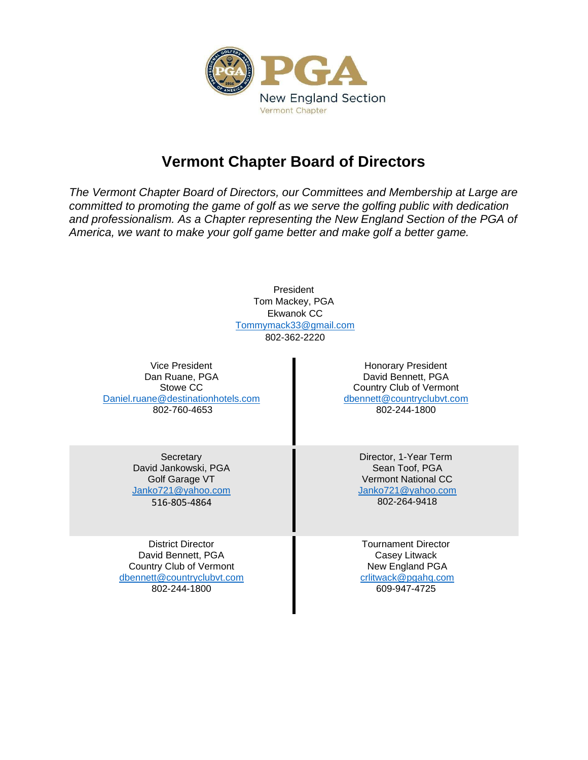

## **Vermont Chapter Board of Directors**

*The Vermont Chapter Board of Directors, our Committees and Membership at Large are committed to promoting the game of golf as we serve the golfing public with dedication and professionalism. As a Chapter representing the New England Section of the PGA of America, we want to make your golf game better and make golf a better game.* 

> President Tom Mackey, PGA Ekwanok CC [Tommymack33@gmail.com](mailto:Tommymack33@gmail.com) 802-362-2220

Vice President Dan Ruane, PGA Stowe CC [Daniel.ruane@destinationhotels.com](mailto:Daniel.ruane@destinationhotels.com) 802-760-4653

Honorary President David Bennett, PGA Country Club of Vermont [dbennett@countryclubvt.com](mailto:dbennett@countryclubvt.com) 802-244-1800

**Secretary** David Jankowski, PGA Golf Garage VT [Janko721@yahoo.com](mailto:Janko721@yahoo.com) 516-805-4864

District Director David Bennett, PGA Country Club of Vermont [dbennett@countryclubvt.com](mailto:dbennett@countryclubvt.com) 802-244-1800

Director, 1-Year Term Sean Toof, PGA Vermont National CC [Janko721@yahoo.com](mailto:Janko721@yahoo.com) 802-264-9418

Tournament Director Casey Litwack New England PGA [crlitwack@pgahq.com](mailto:crlitwack@pgahq.com) 609-947-4725